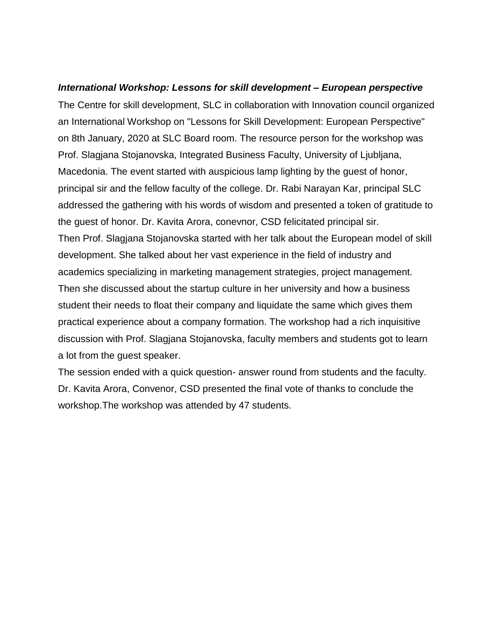## *International Workshop: Lessons for skill development – European perspective*

The Centre for skill development, SLC in collaboration with Innovation council organized an International Workshop on "Lessons for Skill Development: European Perspective" on 8th January, 2020 at SLC Board room. The resource person for the workshop was Prof. Slagjana Stojanovska, Integrated Business Faculty, University of Ljubljana, Macedonia. The event started with auspicious lamp lighting by the guest of honor, principal sir and the fellow faculty of the college. Dr. Rabi Narayan Kar, principal SLC addressed the gathering with his words of wisdom and presented a token of gratitude to the guest of honor. Dr. Kavita Arora, conevnor, CSD felicitated principal sir. Then Prof. Slagjana Stojanovska started with her talk about the European model of skill development. She talked about her vast experience in the field of industry and academics specializing in marketing management strategies, project management. Then she discussed about the startup culture in her university and how a business student their needs to float their company and liquidate the same which gives them practical experience about a company formation. The workshop had a rich inquisitive discussion with Prof. Slagjana Stojanovska, faculty members and students got to learn a lot from the guest speaker.

The session ended with a quick question- answer round from students and the faculty. Dr. Kavita Arora, Convenor, CSD presented the final vote of thanks to conclude the workshop.The workshop was attended by 47 students.